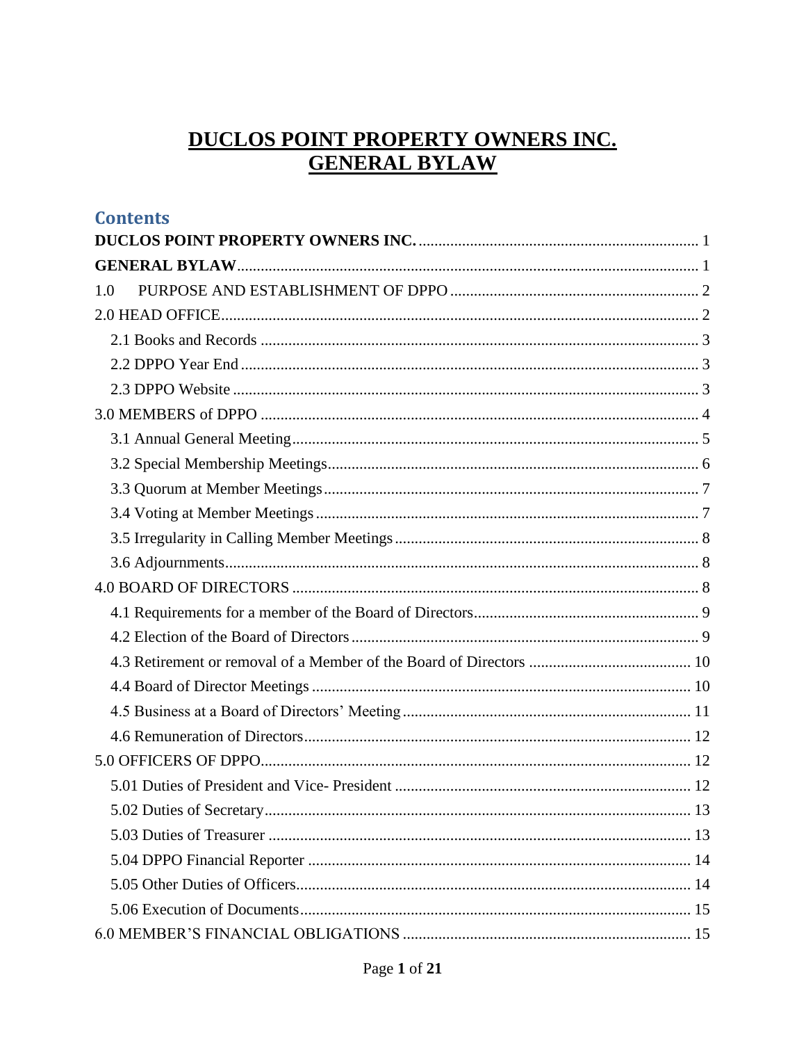# DUCLOS POINT PROPERTY OWNERS INC.<br>GENERAL BYLAW

<span id="page-0-1"></span><span id="page-0-0"></span>

| <b>Contents</b> |  |
|-----------------|--|
|                 |  |
|                 |  |
| 1.0             |  |
|                 |  |
|                 |  |
|                 |  |
|                 |  |
|                 |  |
|                 |  |
|                 |  |
|                 |  |
|                 |  |
|                 |  |
|                 |  |
|                 |  |
|                 |  |
|                 |  |
|                 |  |
|                 |  |
|                 |  |
|                 |  |
|                 |  |
|                 |  |
|                 |  |
|                 |  |
|                 |  |
|                 |  |
|                 |  |
|                 |  |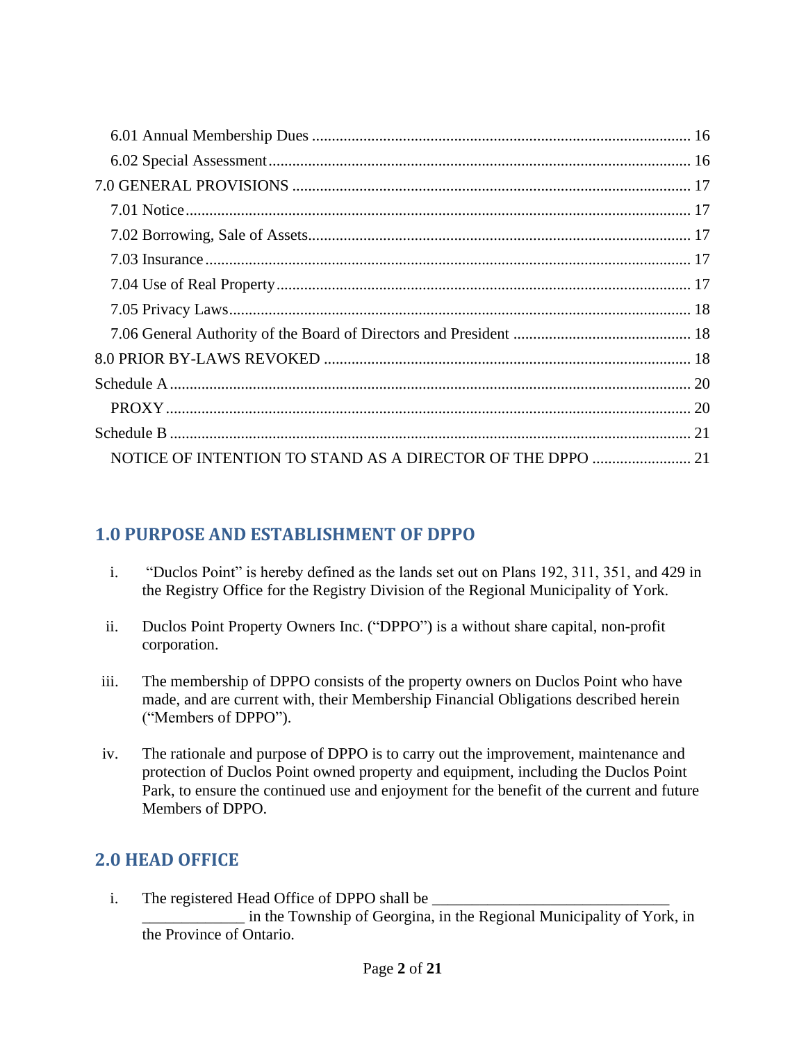| NOTICE OF INTENTION TO STAND AS A DIRECTOR OF THE DPPO  21 |  |
|------------------------------------------------------------|--|

## <span id="page-1-0"></span>**1.0 PURPOSE AND ESTABLISHMENT OF DPPO**

- i. "Duclos Point" is hereby defined as the lands set out on Plans 192, 311, 351, and 429 in the Registry Office for the Registry Division of the Regional Municipality of York.
- ii. Duclos Point Property Owners Inc. ("DPPO") is a without share capital, non-profit corporation.
- iii. The membership of DPPO consists of the property owners on Duclos Point who have made, and are current with, their Membership Financial Obligations described herein ("Members of DPPO").
- iv. The rationale and purpose of DPPO is to carry out the improvement, maintenance and protection of Duclos Point owned property and equipment, including the Duclos Point Park, to ensure the continued use and enjoyment for the benefit of the current and future Members of DPPO.

## <span id="page-1-1"></span>**2.0 HEAD OFFICE**

i. The registered Head Office of DPPO shall be in the Township of Georgina, in the Regional Municipality of York, in the Province of Ontario.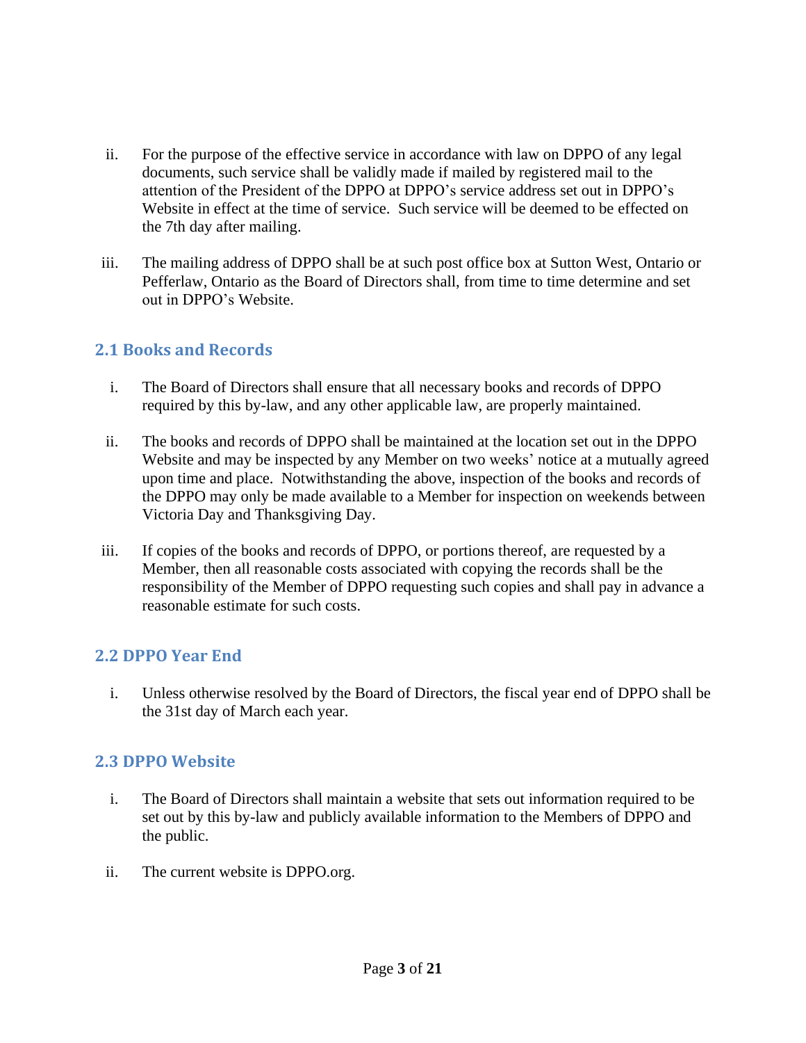- ii. For the purpose of the effective service in accordance with law on DPPO of any legal documents, such service shall be validly made if mailed by registered mail to the attention of the President of the DPPO at DPPO's service address set out in DPPO's Website in effect at the time of service. Such service will be deemed to be effected on the 7th day after mailing.
- iii. The mailing address of DPPO shall be at such post office box at Sutton West, Ontario or Pefferlaw, Ontario as the Board of Directors shall, from time to time determine and set out in DPPO's Website.

#### <span id="page-2-0"></span>**2.1 Books and Records**

- i. The Board of Directors shall ensure that all necessary books and records of DPPO required by this by-law, and any other applicable law, are properly maintained.
- ii. The books and records of DPPO shall be maintained at the location set out in the DPPO Website and may be inspected by any Member on two weeks' notice at a mutually agreed upon time and place. Notwithstanding the above, inspection of the books and records of the DPPO may only be made available to a Member for inspection on weekends between Victoria Day and Thanksgiving Day.
- iii. If copies of the books and records of DPPO, or portions thereof, are requested by a Member, then all reasonable costs associated with copying the records shall be the responsibility of the Member of DPPO requesting such copies and shall pay in advance a reasonable estimate for such costs.

#### <span id="page-2-1"></span>**2.2 DPPO Year End**

i. Unless otherwise resolved by the Board of Directors, the fiscal year end of DPPO shall be the 31st day of March each year.

#### <span id="page-2-2"></span>**2.3 DPPO Website**

- i. The Board of Directors shall maintain a website that sets out information required to be set out by this by-law and publicly available information to the Members of DPPO and the public.
- ii. The current website is DPPO.org.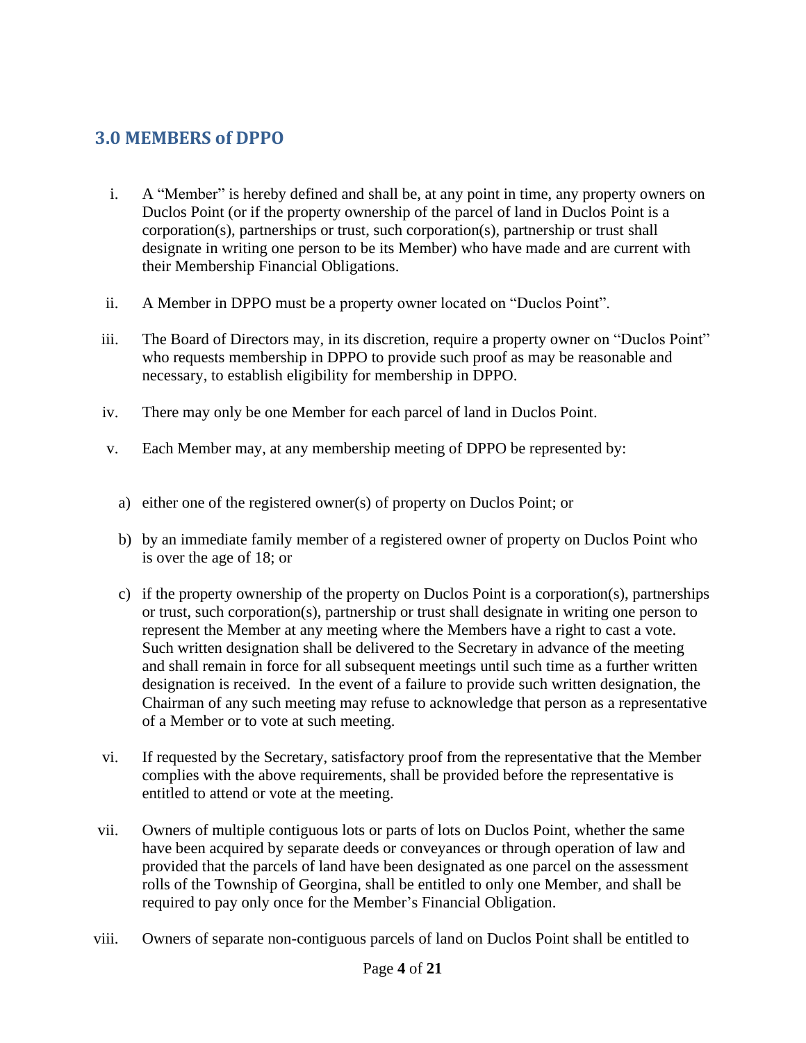#### <span id="page-3-0"></span>**3.0 MEMBERS of DPPO**

- i. A "Member" is hereby defined and shall be, at any point in time, any property owners on Duclos Point (or if the property ownership of the parcel of land in Duclos Point is a corporation(s), partnerships or trust, such corporation(s), partnership or trust shall designate in writing one person to be its Member) who have made and are current with their Membership Financial Obligations.
- ii. A Member in DPPO must be a property owner located on "Duclos Point".
- iii. The Board of Directors may, in its discretion, require a property owner on "Duclos Point" who requests membership in DPPO to provide such proof as may be reasonable and necessary, to establish eligibility for membership in DPPO.
- iv. There may only be one Member for each parcel of land in Duclos Point.
- v. Each Member may, at any membership meeting of DPPO be represented by:
	- a) either one of the registered owner(s) of property on Duclos Point; or
	- b) by an immediate family member of a registered owner of property on Duclos Point who is over the age of 18; or
	- c) if the property ownership of the property on Duclos Point is a corporation(s), partnerships or trust, such corporation(s), partnership or trust shall designate in writing one person to represent the Member at any meeting where the Members have a right to cast a vote. Such written designation shall be delivered to the Secretary in advance of the meeting and shall remain in force for all subsequent meetings until such time as a further written designation is received. In the event of a failure to provide such written designation, the Chairman of any such meeting may refuse to acknowledge that person as a representative of a Member or to vote at such meeting.
- vi. If requested by the Secretary, satisfactory proof from the representative that the Member complies with the above requirements, shall be provided before the representative is entitled to attend or vote at the meeting.
- vii. Owners of multiple contiguous lots or parts of lots on Duclos Point, whether the same have been acquired by separate deeds or conveyances or through operation of law and provided that the parcels of land have been designated as one parcel on the assessment rolls of the Township of Georgina, shall be entitled to only one Member, and shall be required to pay only once for the Member's Financial Obligation.
- viii. Owners of separate non-contiguous parcels of land on Duclos Point shall be entitled to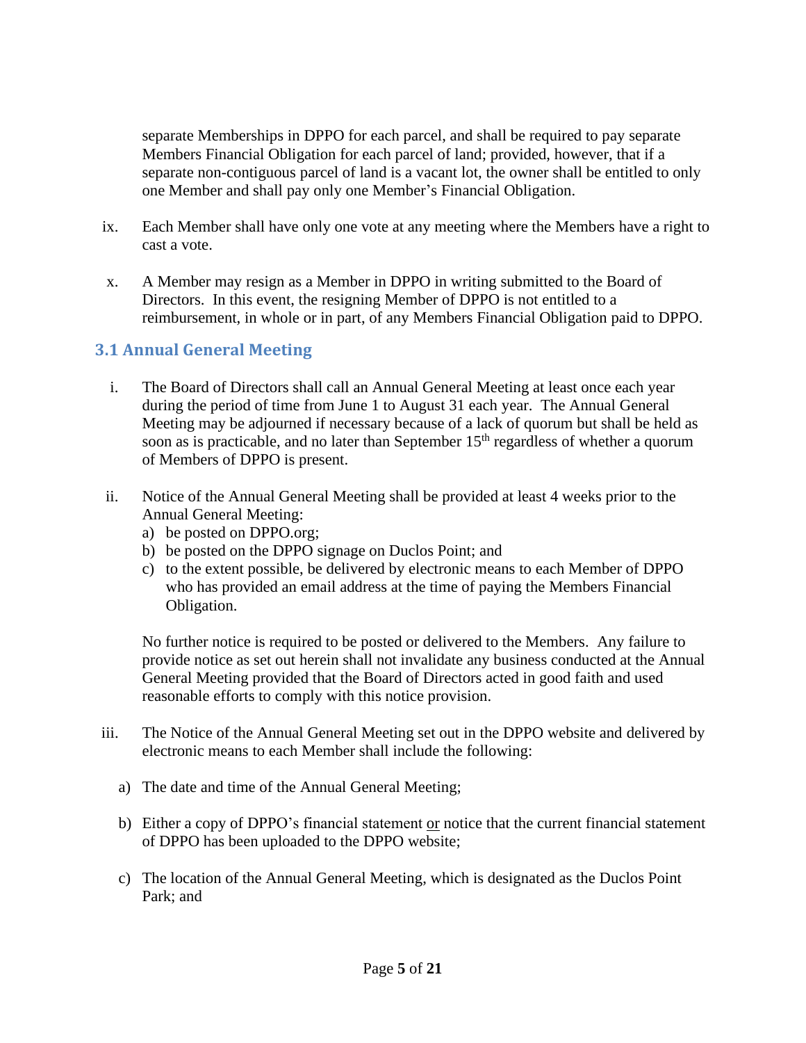separate Memberships in DPPO for each parcel, and shall be required to pay separate Members Financial Obligation for each parcel of land; provided, however, that if a separate non-contiguous parcel of land is a vacant lot, the owner shall be entitled to only one Member and shall pay only one Member's Financial Obligation.

- ix. Each Member shall have only one vote at any meeting where the Members have a right to cast a vote.
- x. A Member may resign as a Member in DPPO in writing submitted to the Board of Directors. In this event, the resigning Member of DPPO is not entitled to a reimbursement, in whole or in part, of any Members Financial Obligation paid to DPPO.

#### <span id="page-4-0"></span>**3.1 Annual General Meeting**

- i. The Board of Directors shall call an Annual General Meeting at least once each year during the period of time from June 1 to August 31 each year. The Annual General Meeting may be adjourned if necessary because of a lack of quorum but shall be held as soon as is practicable, and no later than September  $15<sup>th</sup>$  regardless of whether a quorum of Members of DPPO is present.
- ii. Notice of the Annual General Meeting shall be provided at least 4 weeks prior to the Annual General Meeting:
	- a) be posted on DPPO.org;
	- b) be posted on the DPPO signage on Duclos Point; and
	- c) to the extent possible, be delivered by electronic means to each Member of DPPO who has provided an email address at the time of paying the Members Financial Obligation.

No further notice is required to be posted or delivered to the Members. Any failure to provide notice as set out herein shall not invalidate any business conducted at the Annual General Meeting provided that the Board of Directors acted in good faith and used reasonable efforts to comply with this notice provision.

- iii. The Notice of the Annual General Meeting set out in the DPPO website and delivered by electronic means to each Member shall include the following:
	- a) The date and time of the Annual General Meeting;
	- b) Either a copy of DPPO's financial statement or notice that the current financial statement of DPPO has been uploaded to the DPPO website;
	- c) The location of the Annual General Meeting, which is designated as the Duclos Point Park; and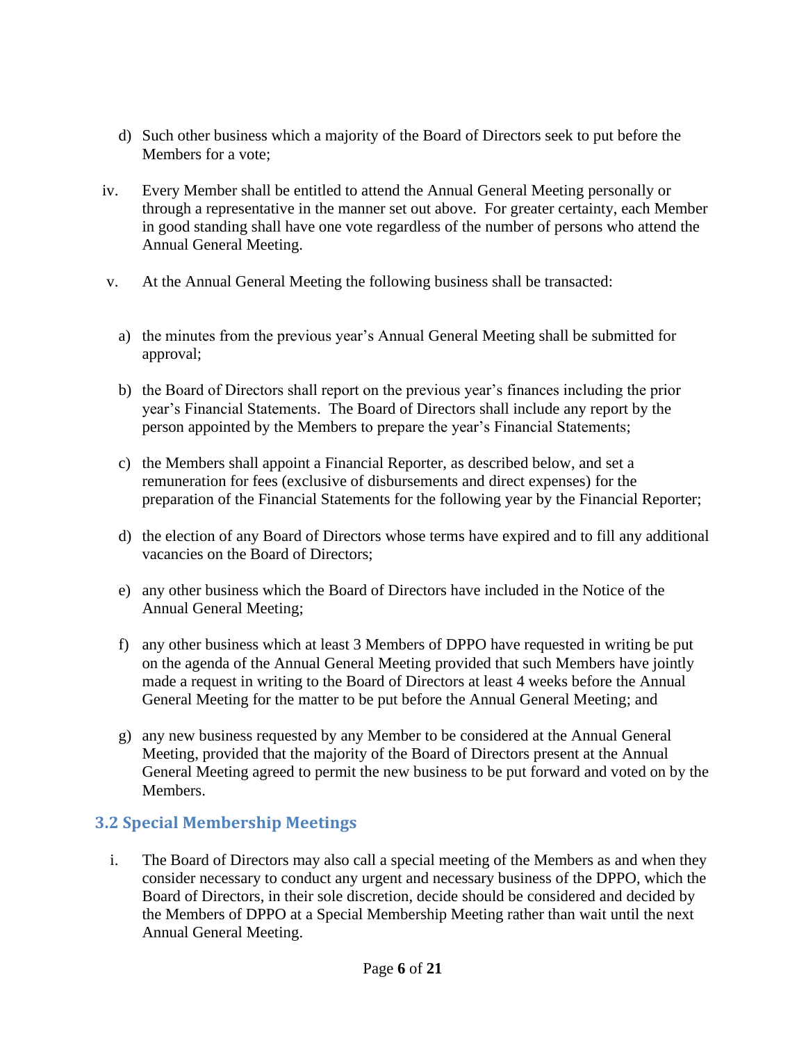- d) Such other business which a majority of the Board of Directors seek to put before the Members for a vote;
- iv. Every Member shall be entitled to attend the Annual General Meeting personally or through a representative in the manner set out above. For greater certainty, each Member in good standing shall have one vote regardless of the number of persons who attend the Annual General Meeting.
- v. At the Annual General Meeting the following business shall be transacted:
	- a) the minutes from the previous year's Annual General Meeting shall be submitted for approval;
	- b) the Board of Directors shall report on the previous year's finances including the prior year's Financial Statements. The Board of Directors shall include any report by the person appointed by the Members to prepare the year's Financial Statements;
	- c) the Members shall appoint a Financial Reporter, as described below, and set a remuneration for fees (exclusive of disbursements and direct expenses) for the preparation of the Financial Statements for the following year by the Financial Reporter;
	- d) the election of any Board of Directors whose terms have expired and to fill any additional vacancies on the Board of Directors;
	- e) any other business which the Board of Directors have included in the Notice of the Annual General Meeting;
	- f) any other business which at least 3 Members of DPPO have requested in writing be put on the agenda of the Annual General Meeting provided that such Members have jointly made a request in writing to the Board of Directors at least 4 weeks before the Annual General Meeting for the matter to be put before the Annual General Meeting; and
	- g) any new business requested by any Member to be considered at the Annual General Meeting, provided that the majority of the Board of Directors present at the Annual General Meeting agreed to permit the new business to be put forward and voted on by the Members.

#### <span id="page-5-0"></span>**3.2 Special Membership Meetings**

i. The Board of Directors may also call a special meeting of the Members as and when they consider necessary to conduct any urgent and necessary business of the DPPO, which the Board of Directors, in their sole discretion, decide should be considered and decided by the Members of DPPO at a Special Membership Meeting rather than wait until the next Annual General Meeting.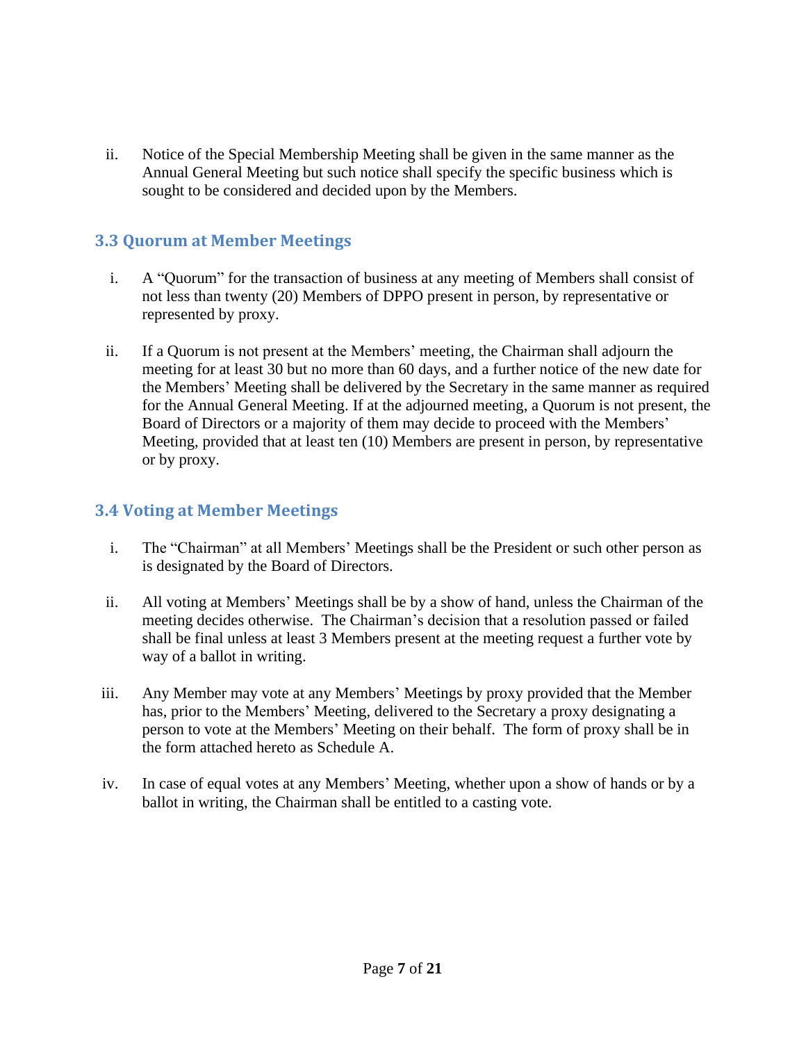ii. Notice of the Special Membership Meeting shall be given in the same manner as the Annual General Meeting but such notice shall specify the specific business which is sought to be considered and decided upon by the Members.

#### <span id="page-6-0"></span>**3.3 Quorum at Member Meetings**

- i. A "Quorum" for the transaction of business at any meeting of Members shall consist of not less than twenty (20) Members of DPPO present in person, by representative or represented by proxy.
- ii. If a Quorum is not present at the Members' meeting, the Chairman shall adjourn the meeting for at least 30 but no more than 60 days, and a further notice of the new date for the Members' Meeting shall be delivered by the Secretary in the same manner as required for the Annual General Meeting. If at the adjourned meeting, a Quorum is not present, the Board of Directors or a majority of them may decide to proceed with the Members' Meeting, provided that at least ten (10) Members are present in person, by representative or by proxy.

#### <span id="page-6-1"></span>**3.4 Voting at Member Meetings**

- i. The "Chairman" at all Members' Meetings shall be the President or such other person as is designated by the Board of Directors.
- ii. All voting at Members' Meetings shall be by a show of hand, unless the Chairman of the meeting decides otherwise. The Chairman's decision that a resolution passed or failed shall be final unless at least 3 Members present at the meeting request a further vote by way of a ballot in writing.
- iii. Any Member may vote at any Members' Meetings by proxy provided that the Member has, prior to the Members' Meeting, delivered to the Secretary a proxy designating a person to vote at the Members' Meeting on their behalf. The form of proxy shall be in the form attached hereto as Schedule A.
- iv. In case of equal votes at any Members' Meeting, whether upon a show of hands or by a ballot in writing, the Chairman shall be entitled to a casting vote.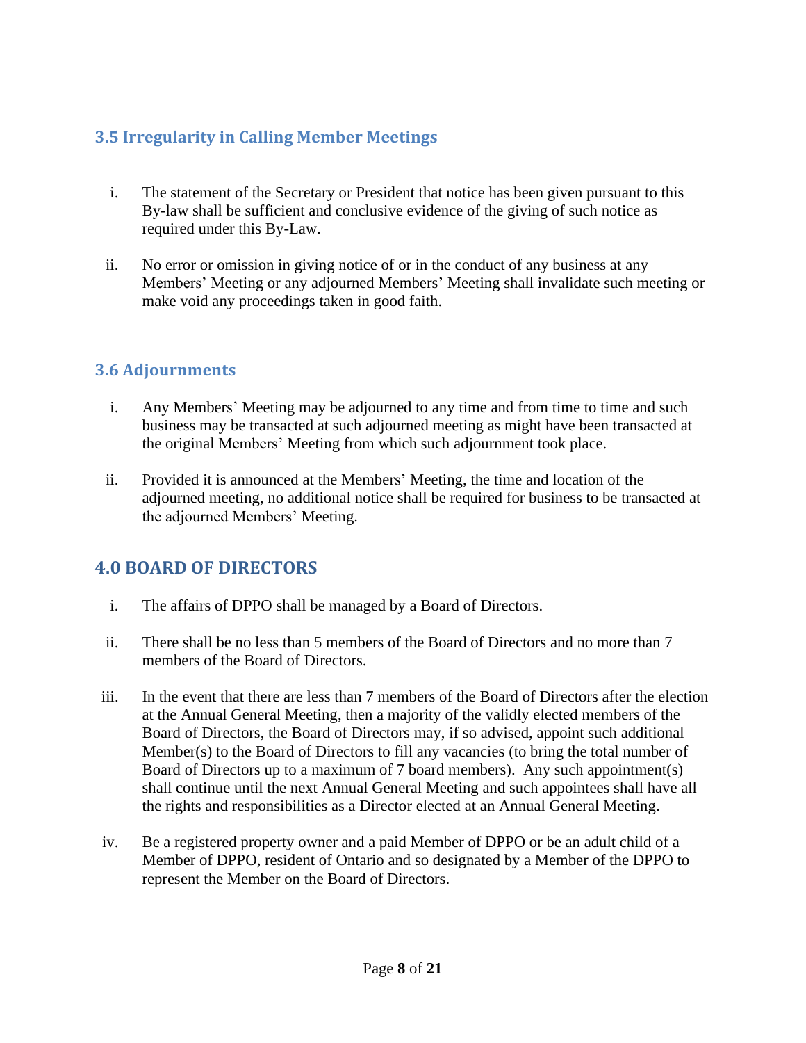## <span id="page-7-0"></span>**3.5 Irregularity in Calling Member Meetings**

- i. The statement of the Secretary or President that notice has been given pursuant to this By-law shall be sufficient and conclusive evidence of the giving of such notice as required under this By-Law.
- ii. No error or omission in giving notice of or in the conduct of any business at any Members' Meeting or any adjourned Members' Meeting shall invalidate such meeting or make void any proceedings taken in good faith.

#### <span id="page-7-1"></span>**3.6 Adjournments**

- i. Any Members' Meeting may be adjourned to any time and from time to time and such business may be transacted at such adjourned meeting as might have been transacted at the original Members' Meeting from which such adjournment took place.
- ii. Provided it is announced at the Members' Meeting, the time and location of the adjourned meeting, no additional notice shall be required for business to be transacted at the adjourned Members' Meeting.

## <span id="page-7-2"></span>**4.0 BOARD OF DIRECTORS**

- i. The affairs of DPPO shall be managed by a Board of Directors.
- ii. There shall be no less than 5 members of the Board of Directors and no more than 7 members of the Board of Directors.
- iii. In the event that there are less than 7 members of the Board of Directors after the election at the Annual General Meeting, then a majority of the validly elected members of the Board of Directors, the Board of Directors may, if so advised, appoint such additional Member(s) to the Board of Directors to fill any vacancies (to bring the total number of Board of Directors up to a maximum of 7 board members). Any such appointment(s) shall continue until the next Annual General Meeting and such appointees shall have all the rights and responsibilities as a Director elected at an Annual General Meeting.
- iv. Be a registered property owner and a paid Member of DPPO or be an adult child of a Member of DPPO, resident of Ontario and so designated by a Member of the DPPO to represent the Member on the Board of Directors.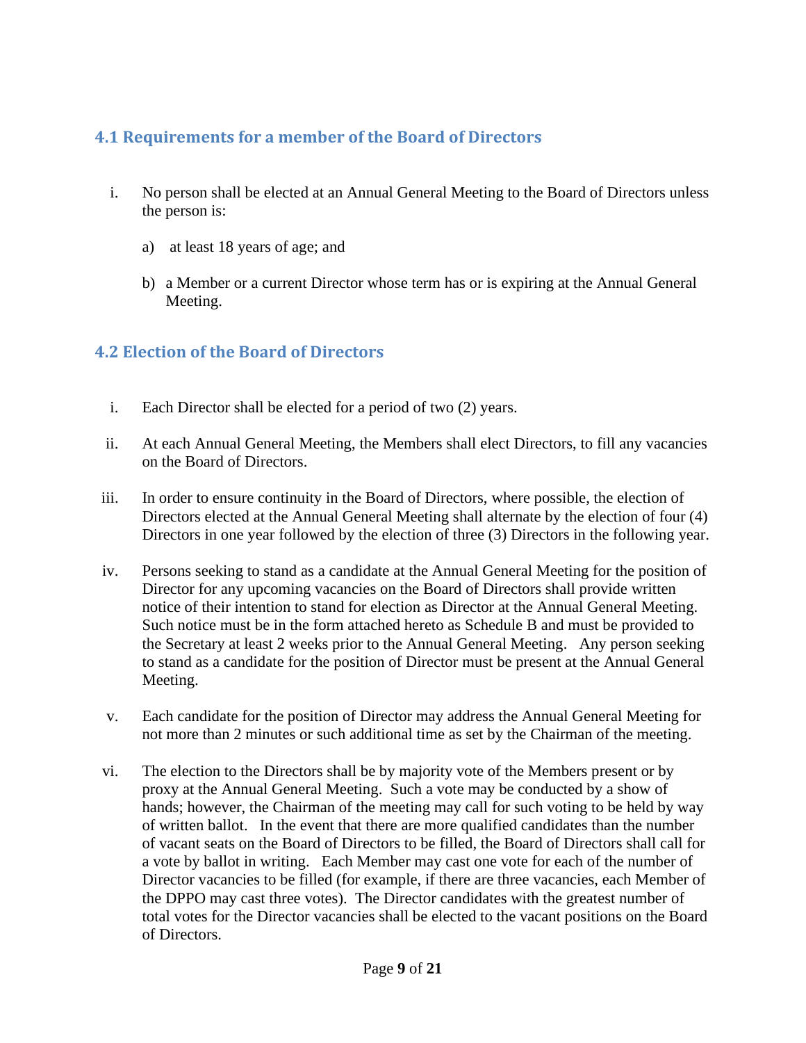#### <span id="page-8-0"></span>**4.1 Requirements for a member of the Board of Directors**

- i. No person shall be elected at an Annual General Meeting to the Board of Directors unless the person is:
	- a) at least 18 years of age; and
	- b) a Member or a current Director whose term has or is expiring at the Annual General Meeting.

## <span id="page-8-1"></span>**4.2 Election of the Board of Directors**

- i. Each Director shall be elected for a period of two (2) years.
- ii. At each Annual General Meeting, the Members shall elect Directors, to fill any vacancies on the Board of Directors.
- iii. In order to ensure continuity in the Board of Directors, where possible, the election of Directors elected at the Annual General Meeting shall alternate by the election of four (4) Directors in one year followed by the election of three (3) Directors in the following year.
- iv. Persons seeking to stand as a candidate at the Annual General Meeting for the position of Director for any upcoming vacancies on the Board of Directors shall provide written notice of their intention to stand for election as Director at the Annual General Meeting. Such notice must be in the form attached hereto as Schedule B and must be provided to the Secretary at least 2 weeks prior to the Annual General Meeting. Any person seeking to stand as a candidate for the position of Director must be present at the Annual General Meeting.
- v. Each candidate for the position of Director may address the Annual General Meeting for not more than 2 minutes or such additional time as set by the Chairman of the meeting.
- vi. The election to the Directors shall be by majority vote of the Members present or by proxy at the Annual General Meeting. Such a vote may be conducted by a show of hands; however, the Chairman of the meeting may call for such voting to be held by way of written ballot. In the event that there are more qualified candidates than the number of vacant seats on the Board of Directors to be filled, the Board of Directors shall call for a vote by ballot in writing. Each Member may cast one vote for each of the number of Director vacancies to be filled (for example, if there are three vacancies, each Member of the DPPO may cast three votes). The Director candidates with the greatest number of total votes for the Director vacancies shall be elected to the vacant positions on the Board of Directors.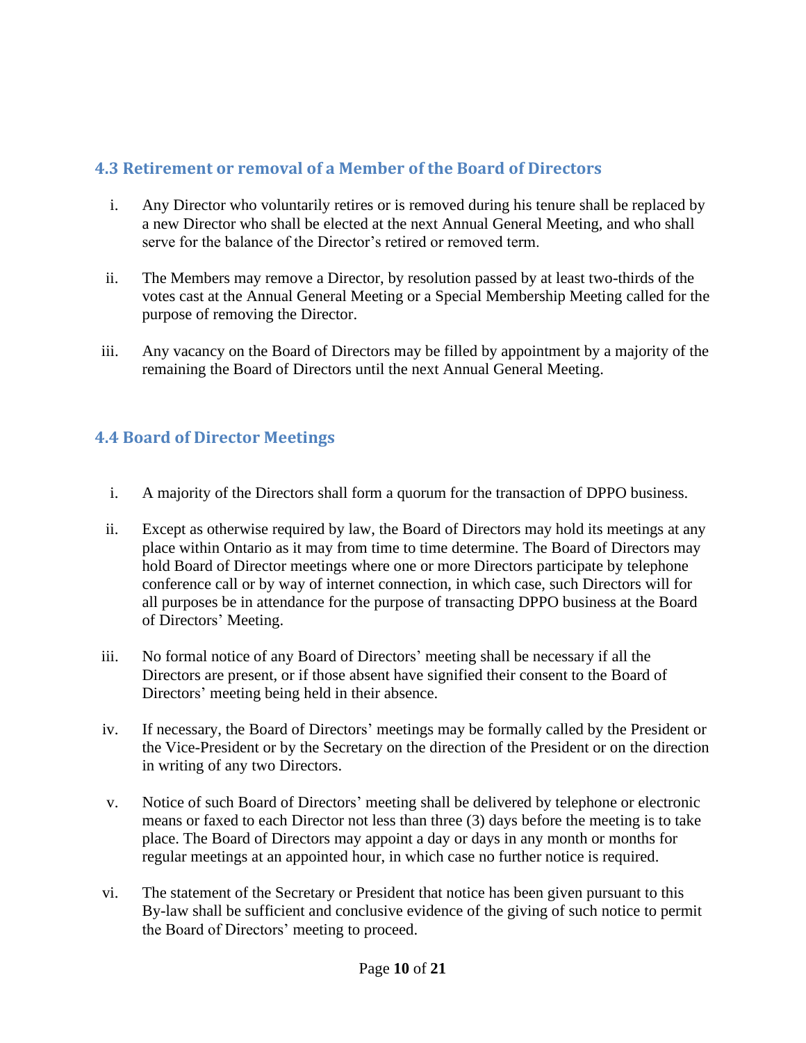## <span id="page-9-0"></span>**4.3 Retirement or removal of a Member of the Board of Directors**

- i. Any Director who voluntarily retires or is removed during his tenure shall be replaced by a new Director who shall be elected at the next Annual General Meeting, and who shall serve for the balance of the Director's retired or removed term.
- ii. The Members may remove a Director, by resolution passed by at least two-thirds of the votes cast at the Annual General Meeting or a Special Membership Meeting called for the purpose of removing the Director.
- iii. Any vacancy on the Board of Directors may be filled by appointment by a majority of the remaining the Board of Directors until the next Annual General Meeting.

## <span id="page-9-1"></span>**4.4 Board of Director Meetings**

- i. A majority of the Directors shall form a quorum for the transaction of DPPO business.
- ii. Except as otherwise required by law, the Board of Directors may hold its meetings at any place within Ontario as it may from time to time determine. The Board of Directors may hold Board of Director meetings where one or more Directors participate by telephone conference call or by way of internet connection, in which case, such Directors will for all purposes be in attendance for the purpose of transacting DPPO business at the Board of Directors' Meeting.
- iii. No formal notice of any Board of Directors' meeting shall be necessary if all the Directors are present, or if those absent have signified their consent to the Board of Directors' meeting being held in their absence.
- iv. If necessary, the Board of Directors' meetings may be formally called by the President or the Vice-President or by the Secretary on the direction of the President or on the direction in writing of any two Directors.
- v. Notice of such Board of Directors' meeting shall be delivered by telephone or electronic means or faxed to each Director not less than three (3) days before the meeting is to take place. The Board of Directors may appoint a day or days in any month or months for regular meetings at an appointed hour, in which case no further notice is required.
- vi. The statement of the Secretary or President that notice has been given pursuant to this By-law shall be sufficient and conclusive evidence of the giving of such notice to permit the Board of Directors' meeting to proceed.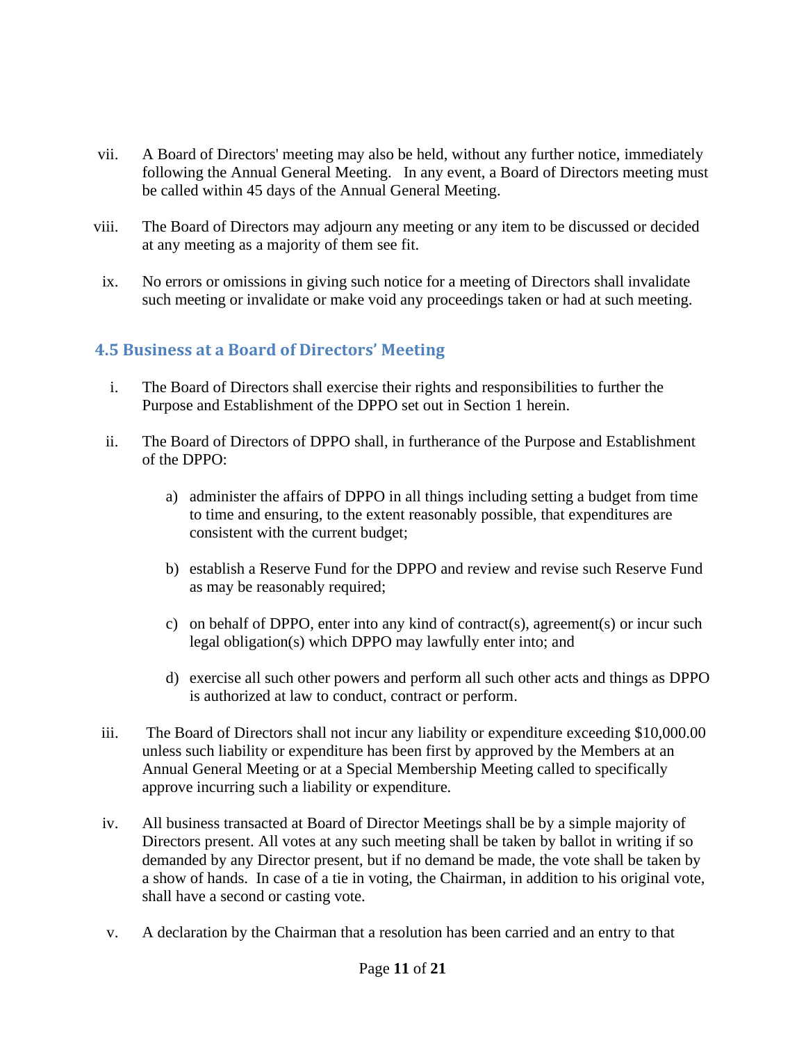- vii. A Board of Directors' meeting may also be held, without any further notice, immediately following the Annual General Meeting. In any event, a Board of Directors meeting must be called within 45 days of the Annual General Meeting.
- viii. The Board of Directors may adjourn any meeting or any item to be discussed or decided at any meeting as a majority of them see fit.
- ix. No errors or omissions in giving such notice for a meeting of Directors shall invalidate such meeting or invalidate or make void any proceedings taken or had at such meeting.

## <span id="page-10-0"></span>**4.5 Business at a Board of Directors' Meeting**

- i. The Board of Directors shall exercise their rights and responsibilities to further the Purpose and Establishment of the DPPO set out in Section 1 herein.
- ii. The Board of Directors of DPPO shall, in furtherance of the Purpose and Establishment of the DPPO:
	- a) administer the affairs of DPPO in all things including setting a budget from time to time and ensuring, to the extent reasonably possible, that expenditures are consistent with the current budget;
	- b) establish a Reserve Fund for the DPPO and review and revise such Reserve Fund as may be reasonably required;
	- c) on behalf of DPPO, enter into any kind of contract(s), agreement(s) or incur such legal obligation(s) which DPPO may lawfully enter into; and
	- d) exercise all such other powers and perform all such other acts and things as DPPO is authorized at law to conduct, contract or perform.
- iii. The Board of Directors shall not incur any liability or expenditure exceeding \$10,000.00 unless such liability or expenditure has been first by approved by the Members at an Annual General Meeting or at a Special Membership Meeting called to specifically approve incurring such a liability or expenditure.
- iv. All business transacted at Board of Director Meetings shall be by a simple majority of Directors present. All votes at any such meeting shall be taken by ballot in writing if so demanded by any Director present, but if no demand be made, the vote shall be taken by a show of hands. In case of a tie in voting, the Chairman, in addition to his original vote, shall have a second or casting vote.
- v. A declaration by the Chairman that a resolution has been carried and an entry to that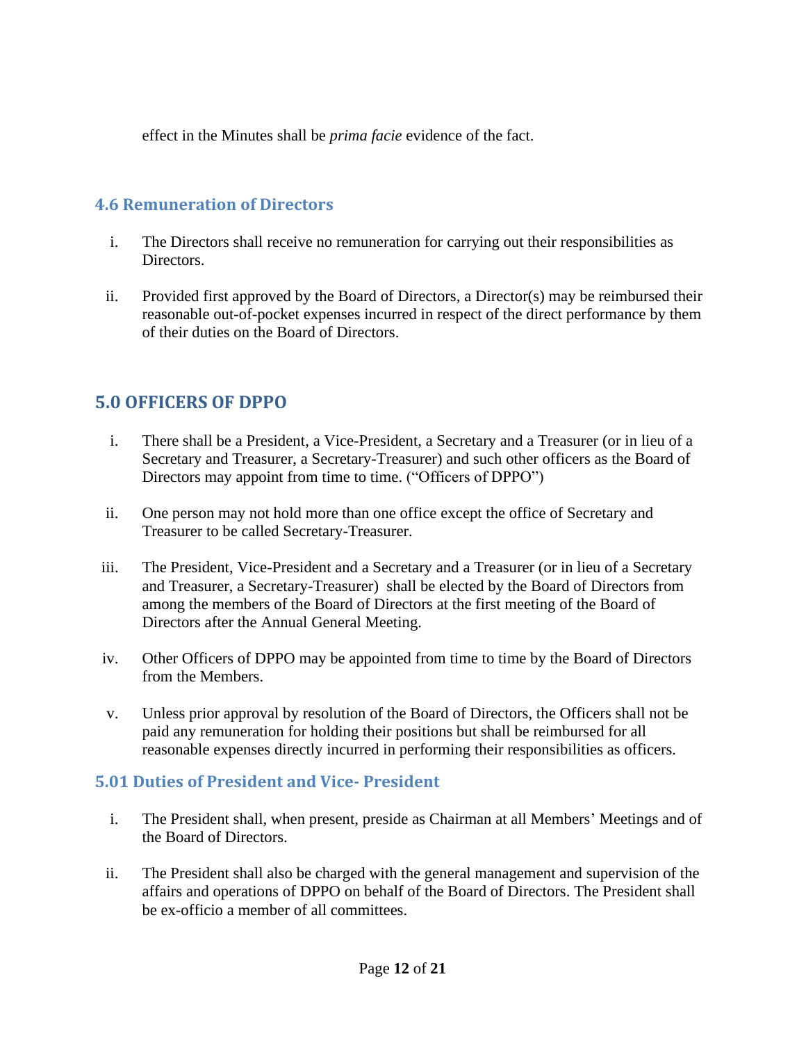effect in the Minutes shall be *prima facie* evidence of the fact.

#### <span id="page-11-0"></span>**4.6 Remuneration of Directors**

- i. The Directors shall receive no remuneration for carrying out their responsibilities as Directors.
- ii. Provided first approved by the Board of Directors, a Director(s) may be reimbursed their reasonable out-of-pocket expenses incurred in respect of the direct performance by them of their duties on the Board of Directors.

## <span id="page-11-1"></span>**5.0 OFFICERS OF DPPO**

- i. There shall be a President, a Vice-President, a Secretary and a Treasurer (or in lieu of a Secretary and Treasurer, a Secretary-Treasurer) and such other officers as the Board of Directors may appoint from time to time. ("Officers of DPPO")
- ii. One person may not hold more than one office except the office of Secretary and Treasurer to be called Secretary-Treasurer.
- iii. The President, Vice-President and a Secretary and a Treasurer (or in lieu of a Secretary and Treasurer, a Secretary-Treasurer) shall be elected by the Board of Directors from among the members of the Board of Directors at the first meeting of the Board of Directors after the Annual General Meeting.
- iv. Other Officers of DPPO may be appointed from time to time by the Board of Directors from the Members.
- v. Unless prior approval by resolution of the Board of Directors, the Officers shall not be paid any remuneration for holding their positions but shall be reimbursed for all reasonable expenses directly incurred in performing their responsibilities as officers.

#### <span id="page-11-2"></span>**5.01 Duties of President and Vice- President**

- i. The President shall, when present, preside as Chairman at all Members' Meetings and of the Board of Directors.
- ii. The President shall also be charged with the general management and supervision of the affairs and operations of DPPO on behalf of the Board of Directors. The President shall be ex-officio a member of all committees.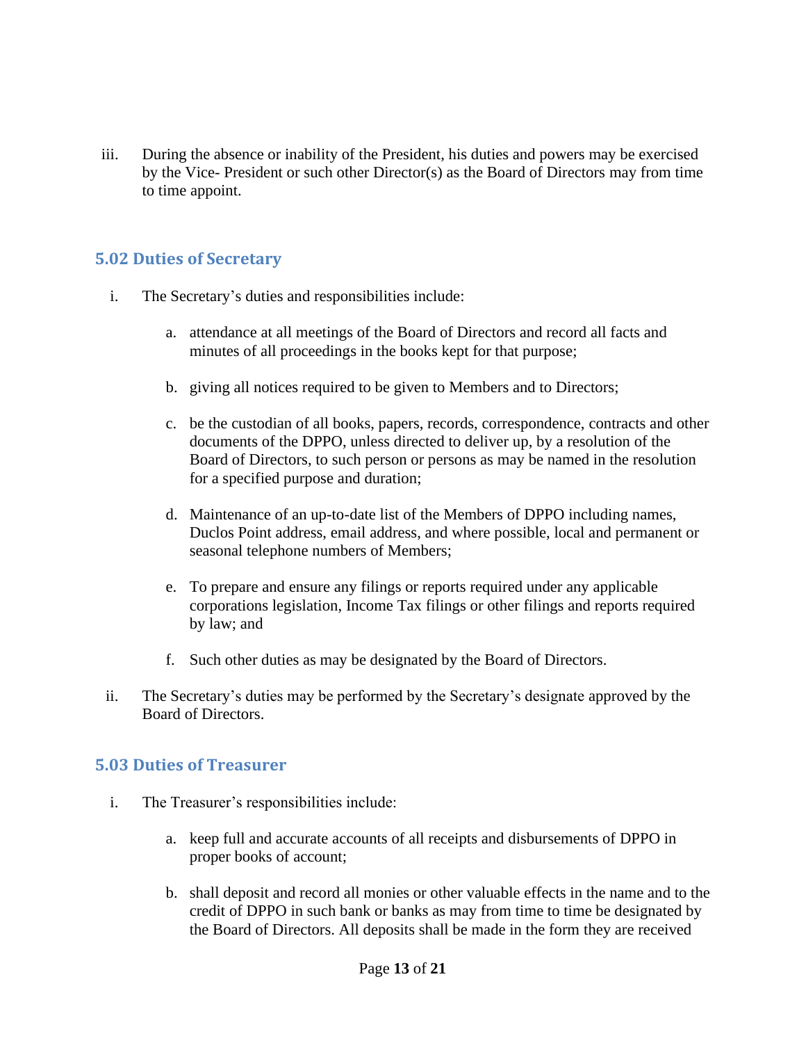iii. During the absence or inability of the President, his duties and powers may be exercised by the Vice- President or such other Director(s) as the Board of Directors may from time to time appoint.

#### <span id="page-12-0"></span>**5.02 Duties of Secretary**

- i. The Secretary's duties and responsibilities include:
	- a. attendance at all meetings of the Board of Directors and record all facts and minutes of all proceedings in the books kept for that purpose;
	- b. giving all notices required to be given to Members and to Directors;
	- c. be the custodian of all books, papers, records, correspondence, contracts and other documents of the DPPO, unless directed to deliver up, by a resolution of the Board of Directors, to such person or persons as may be named in the resolution for a specified purpose and duration;
	- d. Maintenance of an up-to-date list of the Members of DPPO including names, Duclos Point address, email address, and where possible, local and permanent or seasonal telephone numbers of Members;
	- e. To prepare and ensure any filings or reports required under any applicable corporations legislation, Income Tax filings or other filings and reports required by law; and
	- f. Such other duties as may be designated by the Board of Directors.
- ii. The Secretary's duties may be performed by the Secretary's designate approved by the Board of Directors.

#### <span id="page-12-1"></span>**5.03 Duties of Treasurer**

- i. The Treasurer's responsibilities include:
	- a. keep full and accurate accounts of all receipts and disbursements of DPPO in proper books of account;
	- b. shall deposit and record all monies or other valuable effects in the name and to the credit of DPPO in such bank or banks as may from time to time be designated by the Board of Directors. All deposits shall be made in the form they are received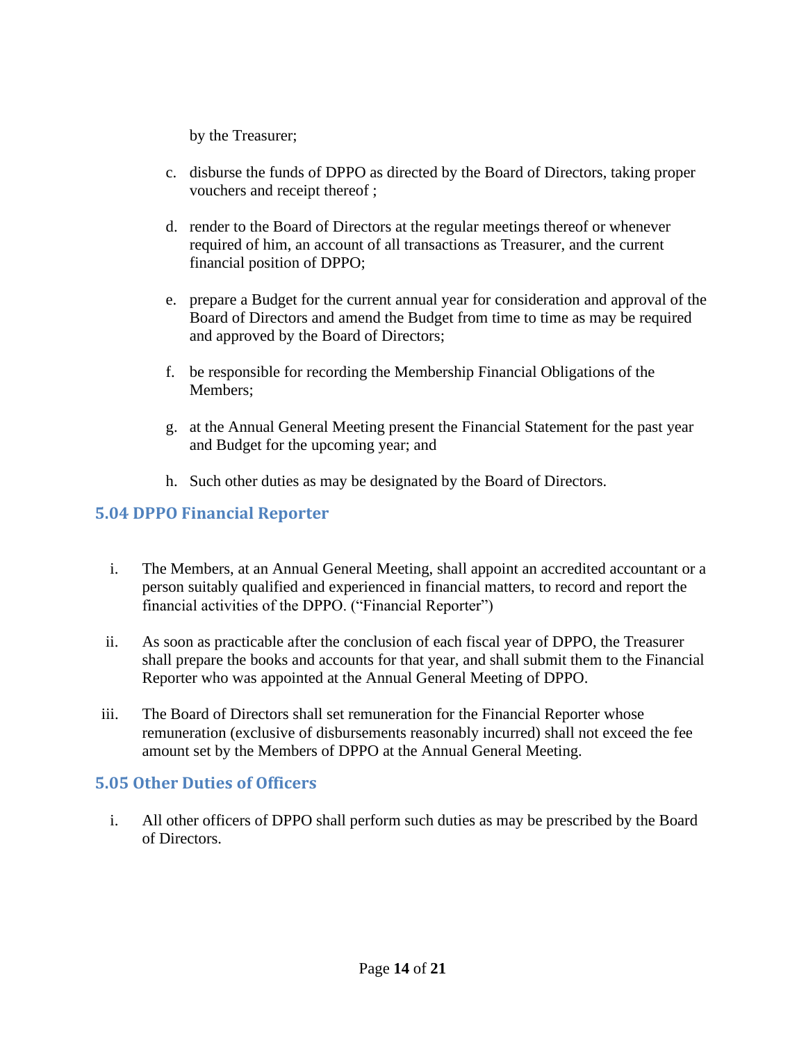by the Treasurer;

- c. disburse the funds of DPPO as directed by the Board of Directors, taking proper vouchers and receipt thereof ;
- d. render to the Board of Directors at the regular meetings thereof or whenever required of him, an account of all transactions as Treasurer, and the current financial position of DPPO;
- e. prepare a Budget for the current annual year for consideration and approval of the Board of Directors and amend the Budget from time to time as may be required and approved by the Board of Directors;
- f. be responsible for recording the Membership Financial Obligations of the Members;
- g. at the Annual General Meeting present the Financial Statement for the past year and Budget for the upcoming year; and
- h. Such other duties as may be designated by the Board of Directors.

#### <span id="page-13-0"></span>**5.04 DPPO Financial Reporter**

- i. The Members, at an Annual General Meeting, shall appoint an accredited accountant or a person suitably qualified and experienced in financial matters, to record and report the financial activities of the DPPO. ("Financial Reporter")
- ii. As soon as practicable after the conclusion of each fiscal year of DPPO, the Treasurer shall prepare the books and accounts for that year, and shall submit them to the Financial Reporter who was appointed at the Annual General Meeting of DPPO.
- iii. The Board of Directors shall set remuneration for the Financial Reporter whose remuneration (exclusive of disbursements reasonably incurred) shall not exceed the fee amount set by the Members of DPPO at the Annual General Meeting.

#### <span id="page-13-1"></span>**5.05 Other Duties of Officers**

i. All other officers of DPPO shall perform such duties as may be prescribed by the Board of Directors.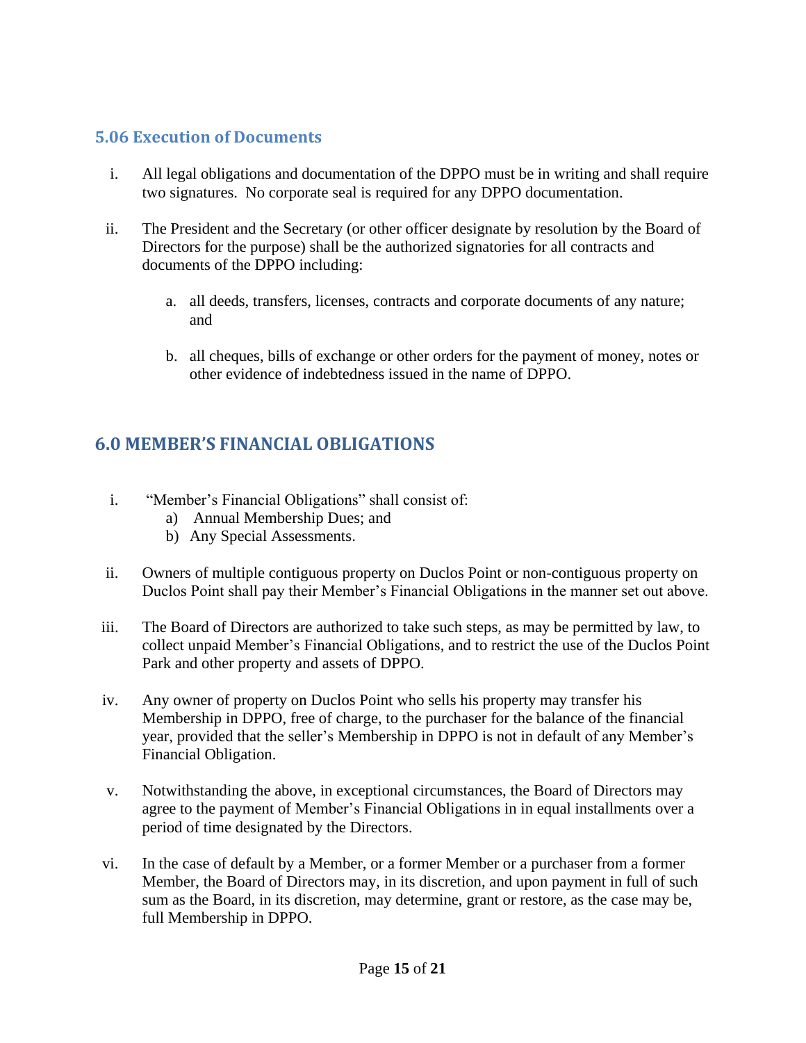#### <span id="page-14-0"></span>**5.06 Execution of Documents**

- i. All legal obligations and documentation of the DPPO must be in writing and shall require two signatures. No corporate seal is required for any DPPO documentation.
- ii. The President and the Secretary (or other officer designate by resolution by the Board of Directors for the purpose) shall be the authorized signatories for all contracts and documents of the DPPO including:
	- a. all deeds, transfers, licenses, contracts and corporate documents of any nature; and
	- b. all cheques, bills of exchange or other orders for the payment of money, notes or other evidence of indebtedness issued in the name of DPPO.

## <span id="page-14-1"></span>**6.0 MEMBER'S FINANCIAL OBLIGATIONS**

- i. "Member's Financial Obligations" shall consist of:
	- a) Annual Membership Dues; and
	- b) Any Special Assessments.
- ii. Owners of multiple contiguous property on Duclos Point or non-contiguous property on Duclos Point shall pay their Member's Financial Obligations in the manner set out above.
- iii. The Board of Directors are authorized to take such steps, as may be permitted by law, to collect unpaid Member's Financial Obligations, and to restrict the use of the Duclos Point Park and other property and assets of DPPO.
- iv. Any owner of property on Duclos Point who sells his property may transfer his Membership in DPPO, free of charge, to the purchaser for the balance of the financial year, provided that the seller's Membership in DPPO is not in default of any Member's Financial Obligation.
- v. Notwithstanding the above, in exceptional circumstances, the Board of Directors may agree to the payment of Member's Financial Obligations in in equal installments over a period of time designated by the Directors.
- vi. In the case of default by a Member, or a former Member or a purchaser from a former Member, the Board of Directors may, in its discretion, and upon payment in full of such sum as the Board, in its discretion, may determine, grant or restore, as the case may be, full Membership in DPPO.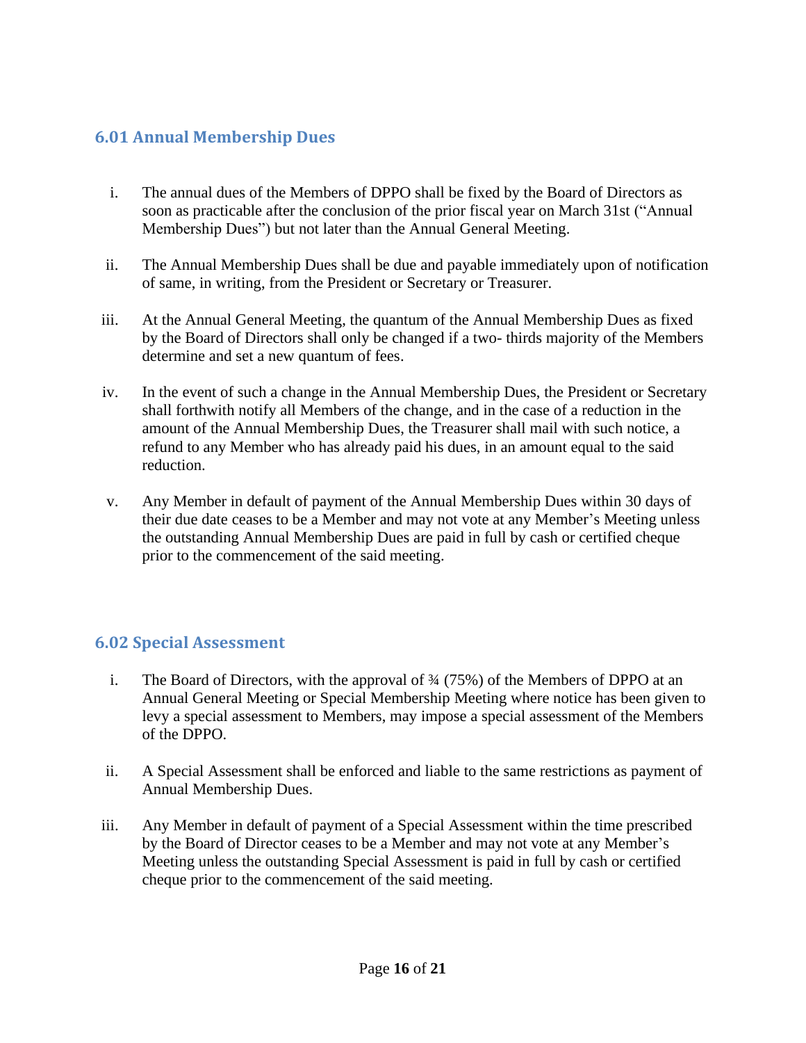#### <span id="page-15-0"></span>**6.01 Annual Membership Dues**

- i. The annual dues of the Members of DPPO shall be fixed by the Board of Directors as soon as practicable after the conclusion of the prior fiscal year on March 31st ("Annual Membership Dues") but not later than the Annual General Meeting.
- ii. The Annual Membership Dues shall be due and payable immediately upon of notification of same, in writing, from the President or Secretary or Treasurer.
- iii. At the Annual General Meeting, the quantum of the Annual Membership Dues as fixed by the Board of Directors shall only be changed if a two- thirds majority of the Members determine and set a new quantum of fees.
- iv. In the event of such a change in the Annual Membership Dues, the President or Secretary shall forthwith notify all Members of the change, and in the case of a reduction in the amount of the Annual Membership Dues, the Treasurer shall mail with such notice, a refund to any Member who has already paid his dues, in an amount equal to the said reduction.
- v. Any Member in default of payment of the Annual Membership Dues within 30 days of their due date ceases to be a Member and may not vote at any Member's Meeting unless the outstanding Annual Membership Dues are paid in full by cash or certified cheque prior to the commencement of the said meeting.

#### <span id="page-15-1"></span>**6.02 Special Assessment**

- i. The Board of Directors, with the approval of ¾ (75%) of the Members of DPPO at an Annual General Meeting or Special Membership Meeting where notice has been given to levy a special assessment to Members, may impose a special assessment of the Members of the DPPO.
- ii. A Special Assessment shall be enforced and liable to the same restrictions as payment of Annual Membership Dues.
- iii. Any Member in default of payment of a Special Assessment within the time prescribed by the Board of Director ceases to be a Member and may not vote at any Member's Meeting unless the outstanding Special Assessment is paid in full by cash or certified cheque prior to the commencement of the said meeting.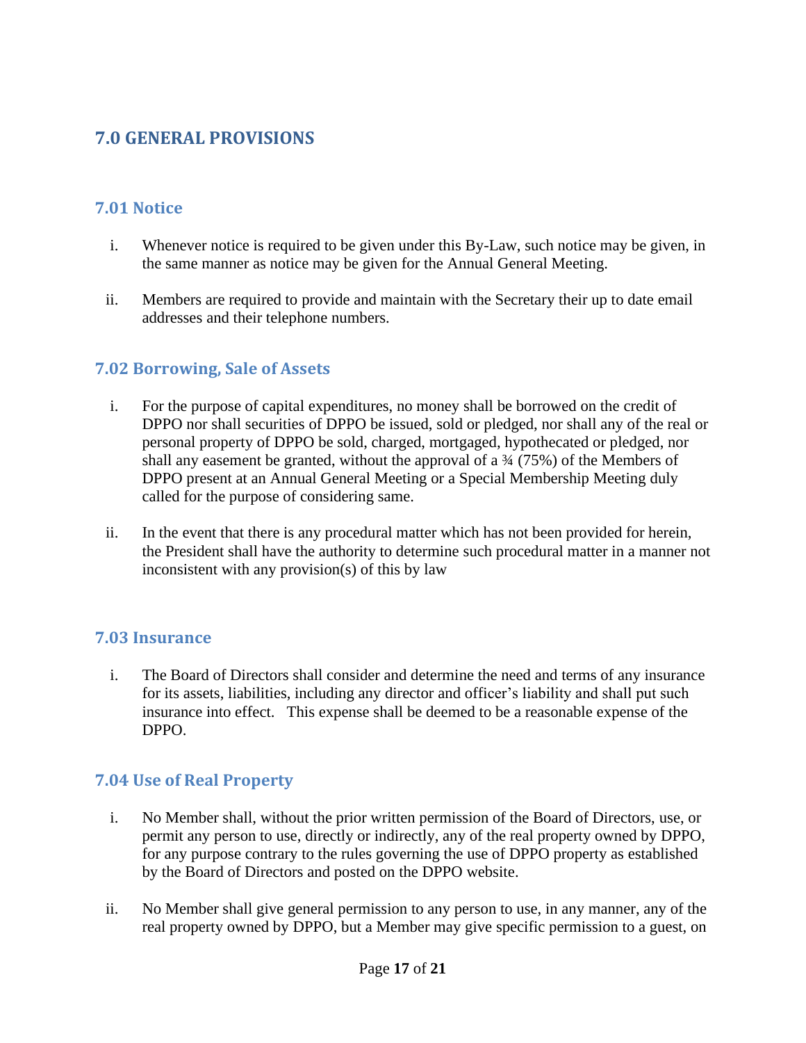## <span id="page-16-0"></span>**7.0 GENERAL PROVISIONS**

## <span id="page-16-1"></span>**7.01 Notice**

- i. Whenever notice is required to be given under this By-Law, such notice may be given, in the same manner as notice may be given for the Annual General Meeting.
- ii. Members are required to provide and maintain with the Secretary their up to date email addresses and their telephone numbers.

#### <span id="page-16-2"></span>**7.02 Borrowing, Sale of Assets**

- i. For the purpose of capital expenditures, no money shall be borrowed on the credit of DPPO nor shall securities of DPPO be issued, sold or pledged, nor shall any of the real or personal property of DPPO be sold, charged, mortgaged, hypothecated or pledged, nor shall any easement be granted, without the approval of a  $\frac{3}{4}$  (75%) of the Members of DPPO present at an Annual General Meeting or a Special Membership Meeting duly called for the purpose of considering same.
- ii. In the event that there is any procedural matter which has not been provided for herein, the President shall have the authority to determine such procedural matter in a manner not inconsistent with any provision(s) of this by law

#### <span id="page-16-3"></span>**7.03 Insurance**

i. The Board of Directors shall consider and determine the need and terms of any insurance for its assets, liabilities, including any director and officer's liability and shall put such insurance into effect. This expense shall be deemed to be a reasonable expense of the DPPO.

#### <span id="page-16-4"></span>**7.04 Use of Real Property**

- i. No Member shall, without the prior written permission of the Board of Directors, use, or permit any person to use, directly or indirectly, any of the real property owned by DPPO, for any purpose contrary to the rules governing the use of DPPO property as established by the Board of Directors and posted on the DPPO website.
- ii. No Member shall give general permission to any person to use, in any manner, any of the real property owned by DPPO, but a Member may give specific permission to a guest, on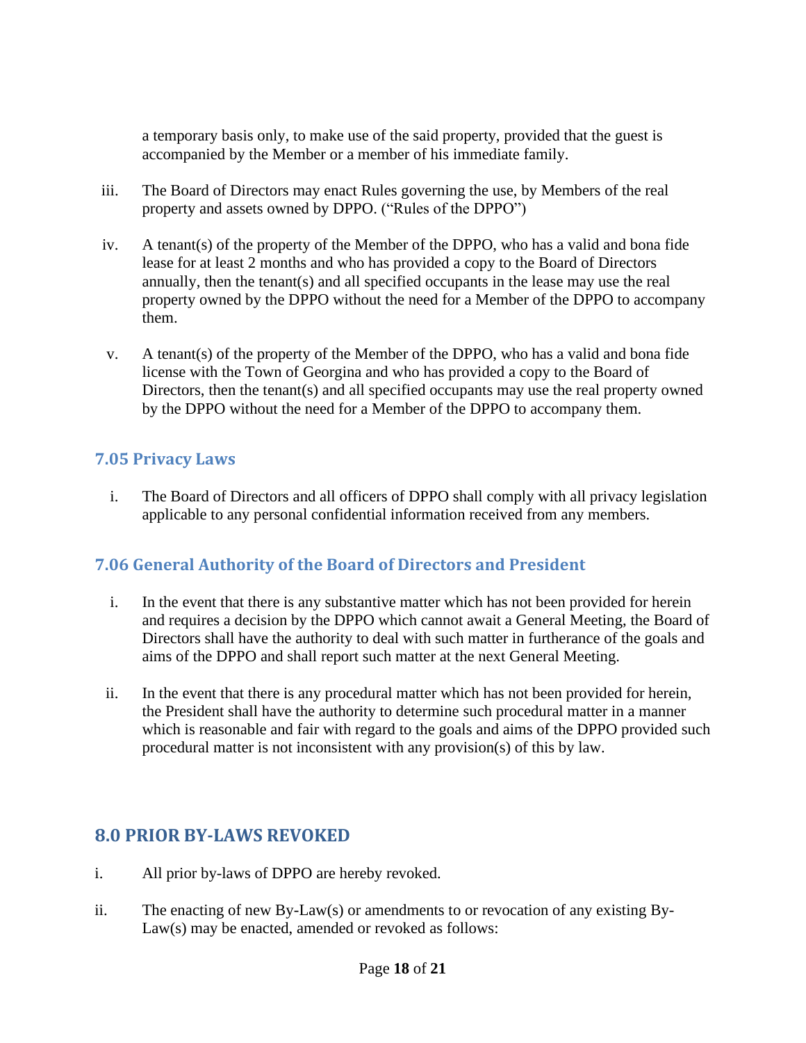a temporary basis only, to make use of the said property, provided that the guest is accompanied by the Member or a member of his immediate family.

- iii. The Board of Directors may enact Rules governing the use, by Members of the real property and assets owned by DPPO. ("Rules of the DPPO")
- iv. A tenant(s) of the property of the Member of the DPPO, who has a valid and bona fide lease for at least 2 months and who has provided a copy to the Board of Directors annually, then the tenant(s) and all specified occupants in the lease may use the real property owned by the DPPO without the need for a Member of the DPPO to accompany them.
- v. A tenant(s) of the property of the Member of the DPPO, who has a valid and bona fide license with the Town of Georgina and who has provided a copy to the Board of Directors, then the tenant(s) and all specified occupants may use the real property owned by the DPPO without the need for a Member of the DPPO to accompany them.

#### <span id="page-17-0"></span>**7.05 Privacy Laws**

i. The Board of Directors and all officers of DPPO shall comply with all privacy legislation applicable to any personal confidential information received from any members.

#### <span id="page-17-1"></span>**7.06 General Authority of the Board of Directors and President**

- i. In the event that there is any substantive matter which has not been provided for herein and requires a decision by the DPPO which cannot await a General Meeting, the Board of Directors shall have the authority to deal with such matter in furtherance of the goals and aims of the DPPO and shall report such matter at the next General Meeting.
- ii. In the event that there is any procedural matter which has not been provided for herein, the President shall have the authority to determine such procedural matter in a manner which is reasonable and fair with regard to the goals and aims of the DPPO provided such procedural matter is not inconsistent with any provision(s) of this by law.

## <span id="page-17-2"></span>**8.0 PRIOR BY-LAWS REVOKED**

- i. All prior by-laws of DPPO are hereby revoked.
- ii. The enacting of new By-Law(s) or amendments to or revocation of any existing By-Law(s) may be enacted, amended or revoked as follows: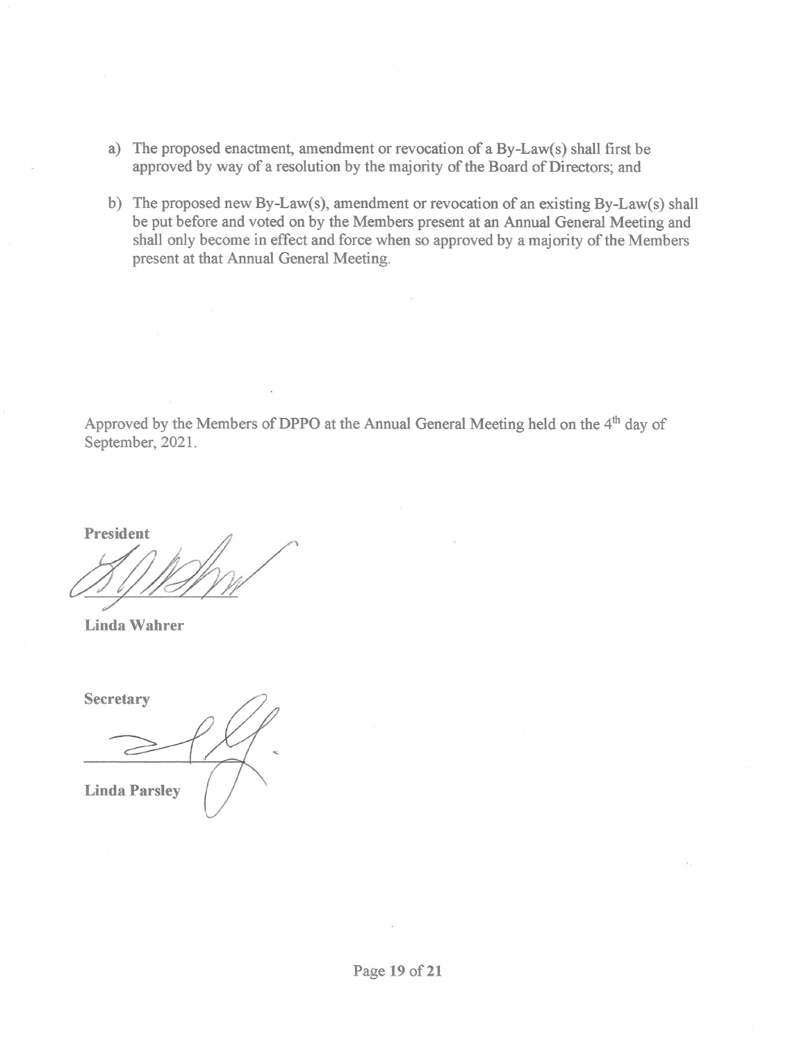- a) The proposed enactment, amendment or revocation of a By-Law(s) shall first be approved by way of a resolution by the majority of the Board of Directors; and
- b) The proposed new By-Law(s), amendment or revocation of an existing By-Law(s) shall be put before and voted on by the Members present at an Annual General Meeting and shall only become in effect and force when so approved by a majority of the Members present at that Annual General Meeting.

Approved by the Members of DPPO at the Annual General Meeting held on the 4<sup>th</sup> day of September, 2021.

President

Linda Wahrer

Secretary **Linda Parsley**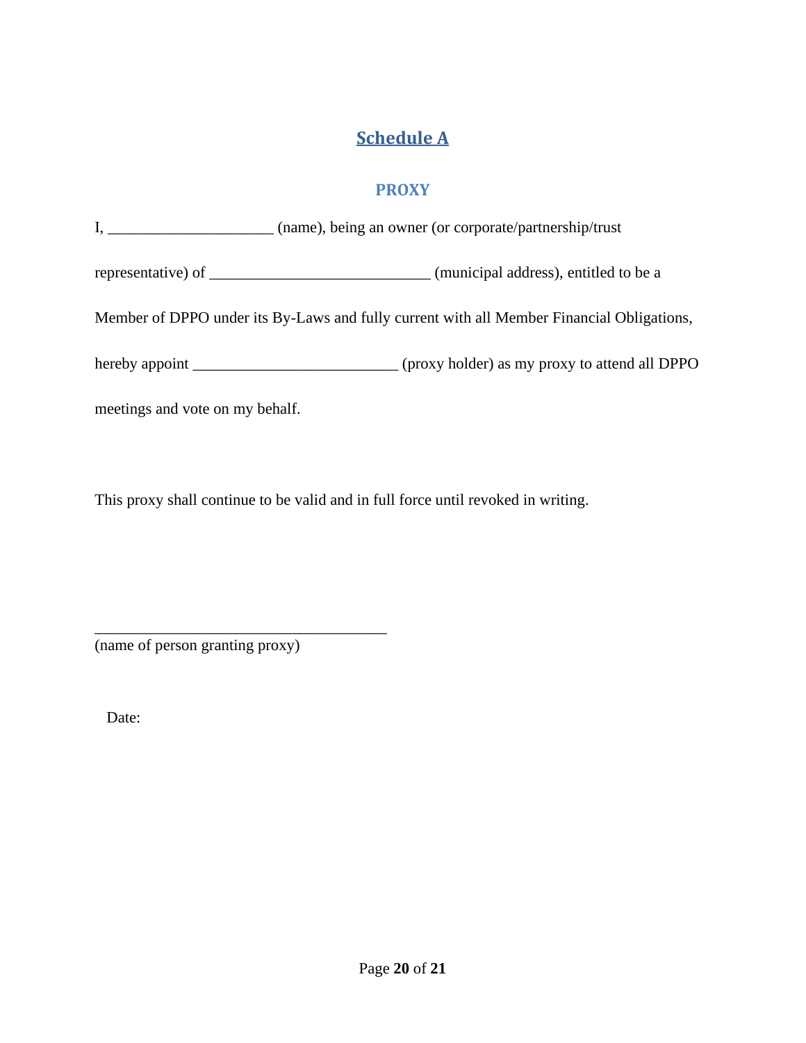# **Schedule A**

#### **PROXY**

<span id="page-19-1"></span><span id="page-19-0"></span>

|                                 | I, (name), being an owner (or corporate/partnership/trust                                 |
|---------------------------------|-------------------------------------------------------------------------------------------|
|                                 |                                                                                           |
|                                 | Member of DPPO under its By-Laws and fully current with all Member Financial Obligations, |
|                                 |                                                                                           |
| meetings and vote on my behalf. |                                                                                           |

This proxy shall continue to be valid and in full force until revoked in writing.

(name of person granting proxy)

\_\_\_\_\_\_\_\_\_\_\_\_\_\_\_\_\_\_\_\_\_\_\_\_\_\_\_\_\_\_\_\_\_\_\_\_\_

Date: